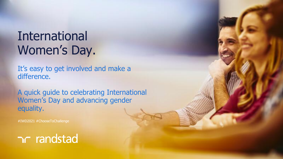## International Women's Day.

It's easy to get involved and make a difference.

A quick guide to celebrating International Women's Day and advancing gender equality.

#IWD2021 #ChooseToChallenge

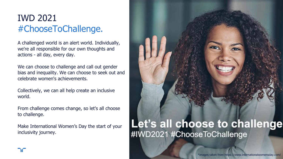## IWD 2021 #ChooseToChallenge.

A challenged world is an alert world. Individually, we're all responsible for our own thoughts and actions - all day, every day.

We can choose to challenge and call out gender bias and inequality. We can choose to seek out and celebrate women's achievements.

Collectively, we can all help create an inclusive world.

From challenge comes change, so let's all choose to challenge.

Make International Women's Day the start of your inclusivity journey.

## Let's all choose to challenge #IWD2021 #ChooseToChallenge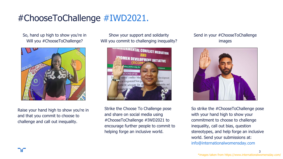## #ChooseToChallenge #IWD2021.

So, hand up high to show you're in Will you #ChooseToChallenge?



Raise your hand high to show you're in and that you commit to choose to challenge and call out inequality.

Show your support and solidarity Will you commit to challenging inequality?



Strike the Choose To Challenge pose and share on social media using #ChooseToChallenge #IWD2021 to encourage further people to commit to helping forge an inclusive world.

#### Send in your #ChooseToChallenge images



So strike the #ChooseToChallenge pose with your hand high to show your commitment to choose to challenge inequality, call out bias, question stereotypes, and help forge an inclusive world. Send your submissions at: info@internationalwomensday.com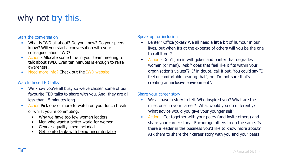## why not try this.

#### Start the conversation

- What is IWD all about? Do you know? Do your peers know? Will you start a conversation with your colleagues about IWD?
- Action Allocate some time in your team meeting to talk about IWD. Even ten minutes is enough to raise awareness.
- Need more info? Check out the [IWD website.](https://www.internationalwomensday.com/)

#### Watch these TED talks

- We know you're all busy so we've chosen some of our favourite TED talks to share with you. And, they are all less than 15 minutes long.
- Action Pick one or more to watch on your lunch break or whilst you're commuting.
	- [Why we have too few women leaders](https://www.youtube.com/watch?v=18uDutylDa4)
	- [Men who want a better world for women](https://www.ted.com/talks/elizabeth_nyamayaro_an_invitation_to_men_who_want_a_better_world_for_women?language=en)
	- [Gender equality- men included](https://www.youtube.com/watch?v=7n9IOH0NvyY)
	- [Get comfortable with being uncomfortable](https://www.youtube.com/watch?v=QijH4UAqGD8)

#### Speak up for inclusion

- Banter? Office jokes? We all need a little bit of humour in our lives, but when it's at the expense of others will you be the one to call it out?
- Action Don't join in with jokes and banter that degrades women (or men). Ask " does that feel like it fits within your organisation's values"? If in doubt, call it out. You could say "I feel uncomfortable hearing that", or "I'm not sure that's creating an inclusive environment".

#### Share your career story

- We all have a story to tell. Who inspired you? What are the milestones in your career? What would you do differently? What advice would you give your younger self?
- Action Get together with your peers (and invite others) and share your career story. Encourage others to do the same. Is there a leader in the business you'd like to know more about? Ask them to share their career story with you and your peers.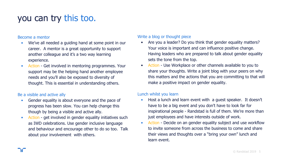### you can try this too.

#### Become a mentor

- We've all needed a guiding hand at some point in our career. A mentor is a great opportunity to support another colleague and it's a two way learning experience.
- Action Get involved in mentoring programmes. Your support may be the helping hand another employee needs and you'll also be exposed to diversity of thought. This is essential in understanding others.

#### Be a visible and active ally

- Gender equality is about everyone and the pace of progress has been slow. You can help change this though by being a visible and active ally.
- Action get involved in gender equality initiatives such as IWD celebrations. Use gender inclusive language and behaviour and encourage other to do so too. Talk about your involvement with others.

#### Write a blog or thought piece

- Are you a leader? Do you think that gender equality matters? Your voice is important and can influence positive change. Having leaders who are prepared to talk about gender equality sets the tone from the top.
- Action Use Workplace or other channels available to you to share your thoughts. Write a joint blog with your peers on why this matters and the actions that you are committing to that will make a positive impact on gender equality.

#### Lunch whilst you learn

- Host a lunch and learn event with a guest speaker. It doesn't have to be a big event and you don't have to look far for inspirational people - Randstad is full of them. We're more than just employees and have interests outside of work.
- Action Decide on an gender equality subject and use workflow to invite someone from across the business to come and share their views and thoughts over a "bring your own" lunch and learn event.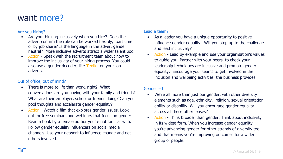### want more?

#### Are you hiring?

- Are you thinking inclusively when you hire? Does the advert confirm the role can be worked flexibly, part time or by job share? Is the language in the advert gender neutral? More inclusive adverts attract a wider talent pool.
- Action Speak with the recruitment team about how to improve the inclusivity of your hiring process. You could also use a gender decoder, like [Textio,](https://textio.ai/) on your job adverts.

#### Out of office, out of mind?

- There is more to life than work, right? What conversations are you having with your family and friends? What are their employer, school or friends doing? Can you pool thoughts and accelerate gender equality?
- Action Watch a film that explores gender issues. Look out for free seminars and webinars that focus on gender. Read a book by a female author you're not familiar with. Follow gender equality influencers on social media channels. Use your network to influence change and get others involved.

#### Lead a team?

- As a leader you have a unique opportunity to positive influence gender equality. Will you step up to the challenge and lead inclusively?
- Action Lead by example and use your organisation's values to guide you. Partner with your peers to check your leadership techniques are inclusive and promote gender equality. Encourage your teams to get involved in the inclusion and wellbeing activities the business provides.

#### Gender +1

- We're all more than just our gender, with other diversity elements such as age, ethnicity, religion, sexual orientation, ability or disability. Will you encourage gender equality across all these other lenses?
- Action Think broader than gender. Think about inclusivity in its widest form. When you increase gender equality, you're advancing gender for other strands of diversity too and that means you're improving outcomes for a wider group of people.